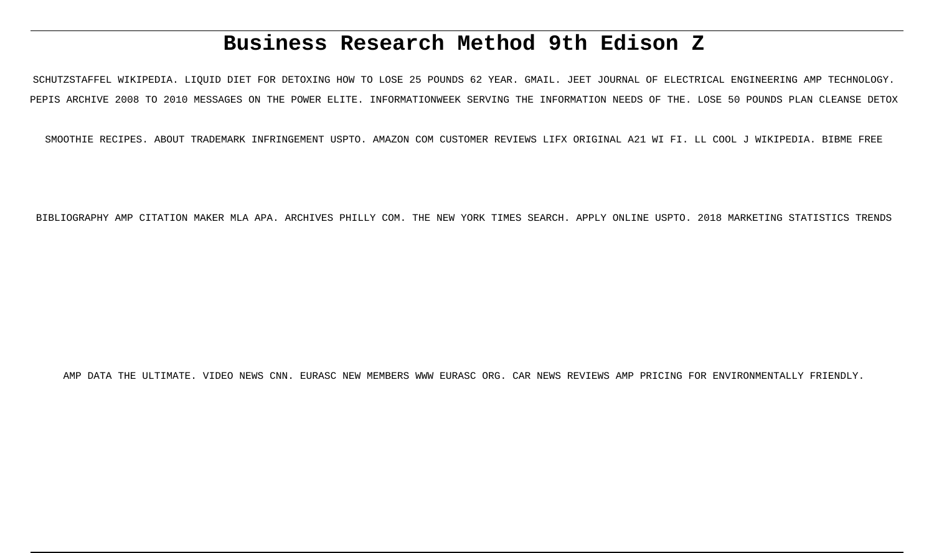# **Business Research Method 9th Edison Z**

SCHUTZSTAFFEL WIKIPEDIA. LIQUID DIET FOR DETOXING HOW TO LOSE 25 POUNDS 62 YEAR. GMAIL. JEET JOURNAL OF ELECTRICAL ENGINEERING AMP TECHNOLOGY. PEPIS ARCHIVE 2008 TO 2010 MESSAGES ON THE POWER ELITE. INFORMATIONWEEK SERVING THE INFORMATION NEEDS OF THE. LOSE 50 POUNDS PLAN CLEANSE DETOX

SMOOTHIE RECIPES. ABOUT TRADEMARK INFRINGEMENT USPTO. AMAZON COM CUSTOMER REVIEWS LIFX ORIGINAL A21 WI FI. LL COOL J WIKIPEDIA. BIBME FREE

BIBLIOGRAPHY AMP CITATION MAKER MLA APA. ARCHIVES PHILLY COM. THE NEW YORK TIMES SEARCH. APPLY ONLINE USPTO. 2018 MARKETING STATISTICS TRENDS

AMP DATA THE ULTIMATE. VIDEO NEWS CNN. EURASC NEW MEMBERS WWW EURASC ORG. CAR NEWS REVIEWS AMP PRICING FOR ENVIRONMENTALLY FRIENDLY.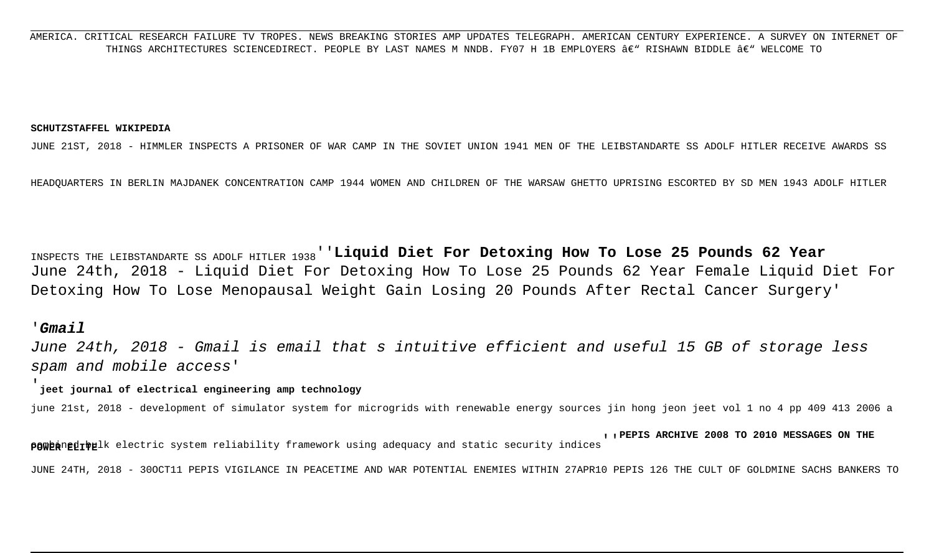AMERICA. CRITICAL RESEARCH FAILURE TV TROPES. NEWS BREAKING STORIES AMP UPDATES TELEGRAPH. AMERICAN CENTURY EXPERIENCE. A SURVEY ON INTERNET OF THINGS ARCHITECTURES SCIENCEDIRECT. PEOPLE BY LAST NAMES M NNDB. FY07 H 1B EMPLOYERS â€" RISHAWN BIDDLE â€" WELCOME TO

#### **SCHUTZSTAFFEL WIKIPEDIA**

JUNE 21ST, 2018 - HIMMLER INSPECTS A PRISONER OF WAR CAMP IN THE SOVIET UNION 1941 MEN OF THE LEIBSTANDARTE SS ADOLF HITLER RECEIVE AWARDS SS

HEADQUARTERS IN BERLIN MAJDANEK CONCENTRATION CAMP 1944 WOMEN AND CHILDREN OF THE WARSAW GHETTO UPRISING ESCORTED BY SD MEN 1943 ADOLF HITLER

INSPECTS THE LEIBSTANDARTE SS ADOLF HITLER 1938''**Liquid Diet For Detoxing How To Lose 25 Pounds 62 Year** June 24th, 2018 - Liquid Diet For Detoxing How To Lose 25 Pounds 62 Year Female Liquid Diet For Detoxing How To Lose Menopausal Weight Gain Losing 20 Pounds After Rectal Cancer Surgery'

#### '**Gmail**

June 24th, 2018 - Gmail is email that s intuitive efficient and useful 15 GB of storage less spam and mobile access'

#### '**jeet journal of electrical engineering amp technology**

june 21st, 2018 - development of simulator system for microgrids with renewable energy sources jin hong jeon jeet vol 1 no 4 pp 409 413 2006 a

re publishing the adequacy and static security indices''''PEPIS ARCHIVE 2008 TO 2010 MESSAGES ON THE POWER PEPIS<br>POWER POWER 2008 TO 2010 MESSAGES ON THE

JUNE 24TH, 2018 - 30OCT11 PEPIS VIGILANCE IN PEACETIME AND WAR POTENTIAL ENEMIES WITHIN 27APR10 PEPIS 126 THE CULT OF GOLDMINE SACHS BANKERS TO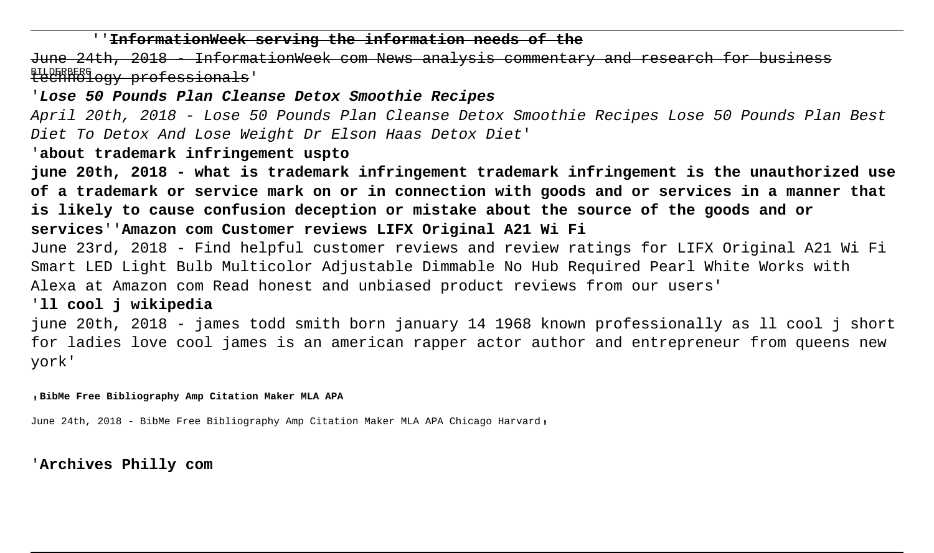### ''**InformationWeek serving the information needs of the**

<sub>BILDERBERG</sub><br><del>technology professionals</del>' June 24th, 2018 - InformationWeek com News analysis commentary and research for business

'**Lose 50 Pounds Plan Cleanse Detox Smoothie Recipes**

April 20th, 2018 - Lose 50 Pounds Plan Cleanse Detox Smoothie Recipes Lose 50 Pounds Plan Best Diet To Detox And Lose Weight Dr Elson Haas Detox Diet'

'**about trademark infringement uspto**

**june 20th, 2018 - what is trademark infringement trademark infringement is the unauthorized use of a trademark or service mark on or in connection with goods and or services in a manner that is likely to cause confusion deception or mistake about the source of the goods and or services**''**Amazon com Customer reviews LIFX Original A21 Wi Fi**

June 23rd, 2018 - Find helpful customer reviews and review ratings for LIFX Original A21 Wi Fi Smart LED Light Bulb Multicolor Adjustable Dimmable No Hub Required Pearl White Works with Alexa at Amazon com Read honest and unbiased product reviews from our users'

'**ll cool j wikipedia**

june 20th, 2018 - james todd smith born january 14 1968 known professionally as ll cool j short for ladies love cool james is an american rapper actor author and entrepreneur from queens new york'

'**BibMe Free Bibliography Amp Citation Maker MLA APA**

June 24th, 2018 - BibMe Free Bibliography Amp Citation Maker MLA APA Chicago Harvard,

'**Archives Philly com**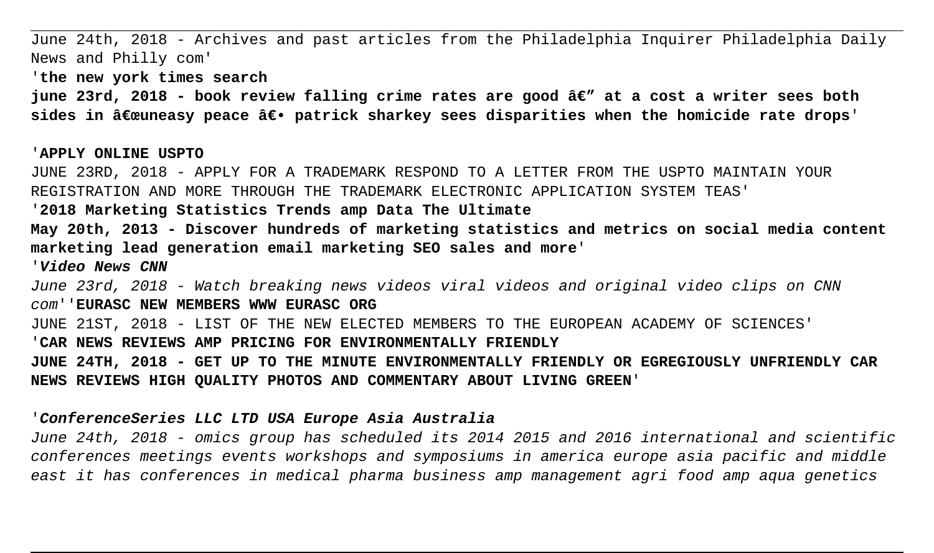June 24th, 2018 - Archives and past articles from the Philadelphia Inquirer Philadelphia Daily News and Philly com' '**the new york times search** june 23rd, 2018 - book review falling crime rates are good â€" at a cost a writer sees both sides in "uneasy peace ― patrick sharkey sees disparities when the homicide rate drops' '**APPLY ONLINE USPTO** JUNE 23RD, 2018 - APPLY FOR A TRADEMARK RESPOND TO A LETTER FROM THE USPTO MAINTAIN YOUR REGISTRATION AND MORE THROUGH THE TRADEMARK ELECTRONIC APPLICATION SYSTEM TEAS' '**2018 Marketing Statistics Trends amp Data The Ultimate May 20th, 2013 - Discover hundreds of marketing statistics and metrics on social media content marketing lead generation email marketing SEO sales and more**' '**Video News CNN** June 23rd, 2018 - Watch breaking news videos viral videos and original video clips on CNN com''**EURASC NEW MEMBERS WWW EURASC ORG** JUNE 21ST, 2018 - LIST OF THE NEW ELECTED MEMBERS TO THE EUROPEAN ACADEMY OF SCIENCES' '**CAR NEWS REVIEWS AMP PRICING FOR ENVIRONMENTALLY FRIENDLY JUNE 24TH, 2018 - GET UP TO THE MINUTE ENVIRONMENTALLY FRIENDLY OR EGREGIOUSLY UNFRIENDLY CAR**

**NEWS REVIEWS HIGH QUALITY PHOTOS AND COMMENTARY ABOUT LIVING GREEN**'

#### '**ConferenceSeries LLC LTD USA Europe Asia Australia**

June 24th, 2018 - omics group has scheduled its 2014 2015 and 2016 international and scientific conferences meetings events workshops and symposiums in america europe asia pacific and middle east it has conferences in medical pharma business amp management agri food amp aqua genetics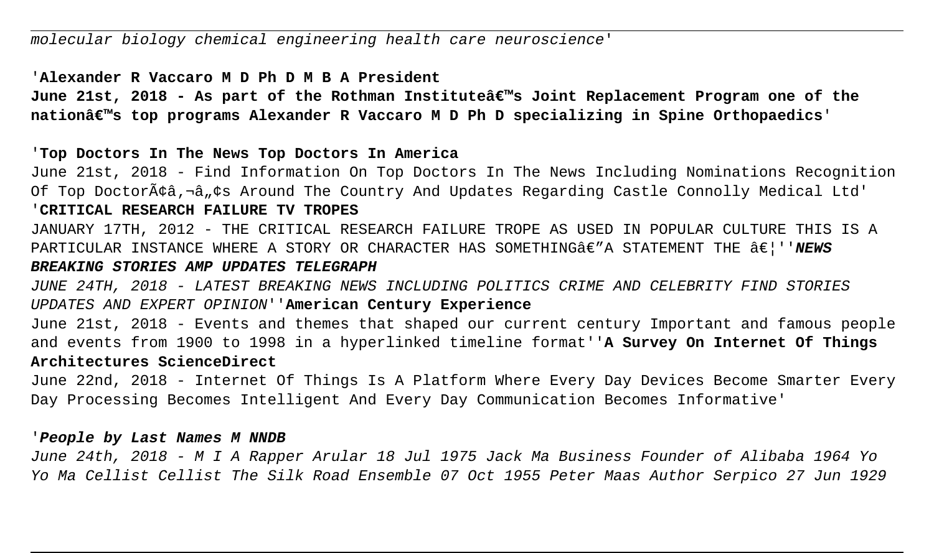#### '**Alexander R Vaccaro M D Ph D M B A President**

June 21st, 2018 - As part of the Rothman Instituteâ€<sup>™</sup>s Joint Replacement Program one of the **nation's top programs Alexander R Vaccaro M D Ph D specializing in Spine Orthopaedics**'

'**Top Doctors In The News Top Doctors In America**

June 21st, 2018 - Find Information On Top Doctors In The News Including Nominations Recognition Of Top Doctorââ,¬â"¢s Around The Country And Updates Regarding Castle Connolly Medical Ltd' '**CRITICAL RESEARCH FAILURE TV TROPES**

JANUARY 17TH, 2012 - THE CRITICAL RESEARCH FAILURE TROPE AS USED IN POPULAR CULTURE THIS IS A PARTICULAR INSTANCE WHERE A STORY OR CHARACTER HAS SOMETHING $\hat{a}\in$ "A STATEMENT THE  $\hat{a}\in$  ''NEWS

## **BREAKING STORIES AMP UPDATES TELEGRAPH**

JUNE 24TH, 2018 - LATEST BREAKING NEWS INCLUDING POLITICS CRIME AND CELEBRITY FIND STORIES UPDATES AND EXPERT OPINION''**American Century Experience**

June 21st, 2018 - Events and themes that shaped our current century Important and famous people and events from 1900 to 1998 in a hyperlinked timeline format''**A Survey On Internet Of Things Architectures ScienceDirect**

June 22nd, 2018 - Internet Of Things Is A Platform Where Every Day Devices Become Smarter Every Day Processing Becomes Intelligent And Every Day Communication Becomes Informative'

#### '**People by Last Names M NNDB**

June 24th, 2018 - M I A Rapper Arular 18 Jul 1975 Jack Ma Business Founder of Alibaba 1964 Yo Yo Ma Cellist Cellist The Silk Road Ensemble 07 Oct 1955 Peter Maas Author Serpico 27 Jun 1929